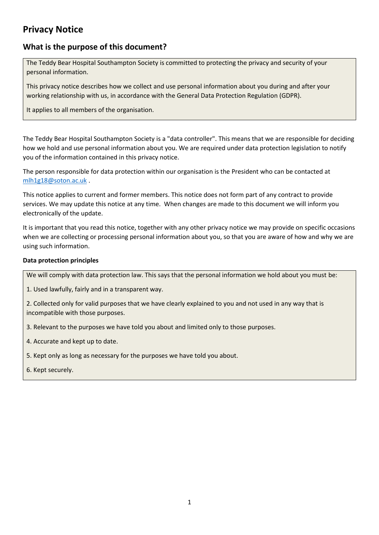# **Privacy Notice**

## **What is the purpose of this document?**

The Teddy Bear Hospital Southampton Society is committed to protecting the privacy and security of your personal information.

This privacy notice describes how we collect and use personal information about you during and after your working relationship with us, in accordance with the General Data Protection Regulation (GDPR).

It applies to all members of the organisation.

The Teddy Bear Hospital Southampton Society is a "data controller". This means that we are responsible for deciding how we hold and use personal information about you. We are required under data protection legislation to notify you of the information contained in this privacy notice.

The person responsible for data protection within our organisation is the President who can be contacted at [mlh1g18@soton.ac.uk](mailto:mlh1g18@soton.ac.uk) .

This notice applies to current and former members. This notice does not form part of any contract to provide services. We may update this notice at any time. When changes are made to this document we will inform you electronically of the update.

It is important that you read this notice, together with any other privacy notice we may provide on specific occasions when we are collecting or processing personal information about you, so that you are aware of how and why we are using such information.

## **Data protection principles**

We will comply with data protection law. This says that the personal information we hold about you must be:

1. Used lawfully, fairly and in a transparent way.

2. Collected only for valid purposes that we have clearly explained to you and not used in any way that is incompatible with those purposes.

3. Relevant to the purposes we have told you about and limited only to those purposes.

4. Accurate and kept up to date.

5. Kept only as long as necessary for the purposes we have told you about.

<span id="page-0-0"></span>6. Kept securely.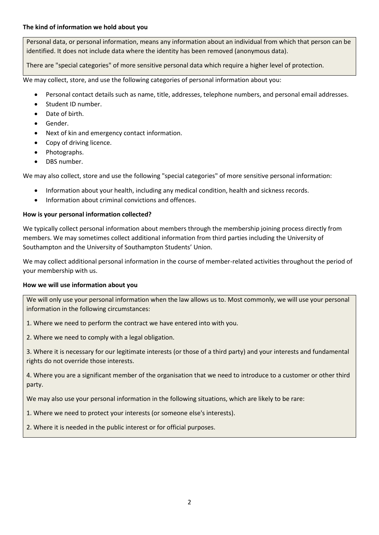Personal data, or personal information, means any information about an individual from which that person can be identified. It does not include data where the identity has been removed (anonymous data).

There are "special categories" of more sensitive personal data which require a higher level of protection.

We may collect, store, and use the following categories of personal information about you:

- Personal contact details such as name, title, addresses, telephone numbers, and personal email addresses.
- Student ID number.
- Date of birth.
- Gender.
- Next of kin and emergency contact information.
- Copy of driving licence.
- Photographs.
- DBS number.

We may also collect, store and use the following "special categories" of more sensitive personal information:

- Information about your health, including any medical condition, health and sickness records.
- Information about criminal convictions and offences.

## **How is your personal information collected?**

We typically collect personal information about members through the membership joining process directly from members. We may sometimes collect additional information from third parties including the University of Southampton and the University of Southampton Students' Union.

We may collect additional personal information in the course of member-related activities throughout the period of your membership with us.

## **How we will use information about you**

We will only use your personal information when the law allows us to. Most commonly, we will use your personal information in the following circumstances:

- 1. Where we need to perform the contract we have entered into with you.
- 2. Where we need to comply with a legal obligation.

3. Where it is necessary for our legitimate interests (or those of a third party) and your interests and fundamental rights do not override those interests.

4. Where you are a significant member of the organisation that we need to introduce to a customer or other third party.

We may also use your personal information in the following situations, which are likely to be rare:

1. Where we need to protect your interests (or someone else's interests).

2. Where it is needed in the public interest or for official purposes.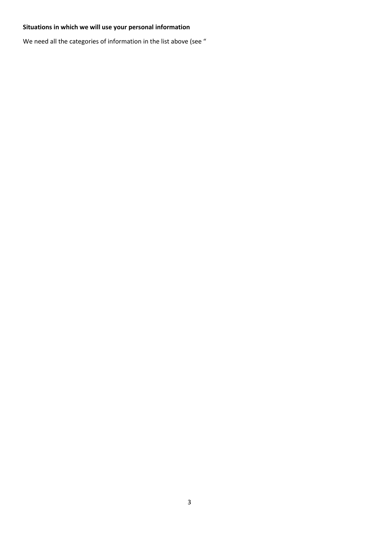## **Situations in which we will use your personal information**

We need all the categories of information in the list above (see ["](#page-0-0)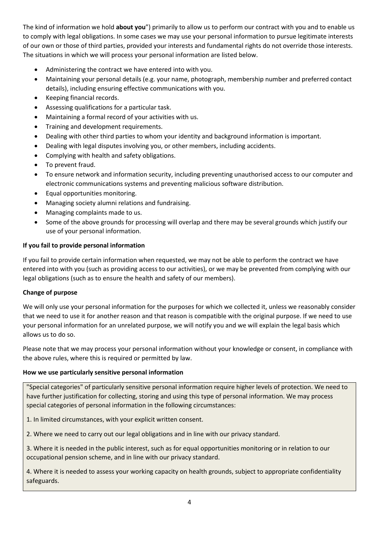[The kind of information we hold](#page-0-0) **about you**") primarily to allow us to perform our contract with you and to enable us to comply with legal obligations. In some cases we may use your personal information to pursue legitimate interests of our own or those of third parties, provided your interests and fundamental rights do not override those interests. The situations in which we will process your personal information are listed below.

- Administering the contract we have entered into with you.
- Maintaining your personal details (e.g. your name, photograph, membership number and preferred contact details), including ensuring effective communications with you.
- Keeping financial records.
- Assessing qualifications for a particular task.
- Maintaining a formal record of your activities with us.
- Training and development requirements.
- Dealing with other third parties to whom your identity and background information is important.
- Dealing with legal disputes involving you, or other members, including accidents.
- Complying with health and safety obligations.
- To prevent fraud.
- To ensure network and information security, including preventing unauthorised access to our computer and electronic communications systems and preventing malicious software distribution.
- Equal opportunities monitoring.
- Managing society alumni relations and fundraising.
- Managing complaints made to us.
- Some of the above grounds for processing will overlap and there may be several grounds which justify our use of your personal information.

#### **If you fail to provide personal information**

If you fail to provide certain information when requested, we may not be able to perform the contract we have entered into with you (such as providing access to our activities), or we may be prevented from complying with our legal obligations (such as to ensure the health and safety of our members).

#### **Change of purpose**

We will only use your personal information for the purposes for which we collected it, unless we reasonably consider that we need to use it for another reason and that reason is compatible with the original purpose. If we need to use your personal information for an unrelated purpose, we will notify you and we will explain the legal basis which allows us to do so.

Please note that we may process your personal information without your knowledge or consent, in compliance with the above rules, where this is required or permitted by law.

#### **How we use particularly sensitive personal information**

"Special categories" of particularly sensitive personal information require higher levels of protection. We need to have further justification for collecting, storing and using this type of personal information. We may process special categories of personal information in the following circumstances:

1. In limited circumstances, with your explicit written consent.

2. Where we need to carry out our legal obligations and in line with our privacy standard.

3. Where it is needed in the public interest, such as for equal opportunities monitoring or in relation to our occupational pension scheme, and in line with our privacy standard.

4. Where it is needed to assess your working capacity on health grounds, subject to appropriate confidentiality safeguards.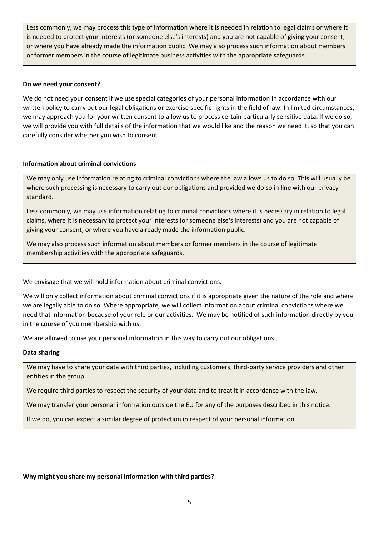Less commonly, we may process this type of information where it is needed in relation to legal claims or where it is needed to protect your interests (or someone else's interests) and you are not capable of giving your consent, or where you have already made the information public. We may also process such information about members or former members in the course of legitimate business activities with the appropriate safeguards.

#### **Do we need your consent?**

We do not need your consent if we use special categories of your personal information in accordance with our written policy to carry out our legal obligations or exercise specific rights in the field of law. In limited circumstances, we may approach you for your written consent to allow us to process certain particularly sensitive data. If we do so, we will provide you with full details of the information that we would like and the reason we need it, so that you can carefully consider whether you wish to consent.

#### **Information about criminal convictions**

We may only use information relating to criminal convictions where the law allows us to do so. This will usually be where such processing is necessary to carry out our obligations and provided we do so in line with our privacy standard.

Less commonly, we may use information relating to criminal convictions where it is necessary in relation to legal claims, where it is necessary to protect your interests (or someone else's interests) and you are not capable of giving your consent, or where you have already made the information public.

We may also process such information about members or former members in the course of legitimate membership activities with the appropriate safeguards.

We envisage that we will hold information about criminal convictions.

We will only collect information about criminal convictions if it is appropriate given the nature of the role and where we are legally able to do so. Where appropriate, we will collect information about criminal convictions where we need that information because of your role or our activities. We may be notified of such information directly by you in the course of you membership with us.

We are allowed to use your personal information in this way to carry out our obligations.

#### **Data sharing**

We may have to share your data with third parties, including customers, third-party service providers and other entities in the group.

We require third parties to respect the security of your data and to treat it in accordance with the law.

We may transfer your personal information outside the EU for any of the purposes described in this notice.

If we do, you can expect a similar degree of protection in respect of your personal information.

## **Why might you share my personal information with third parties?**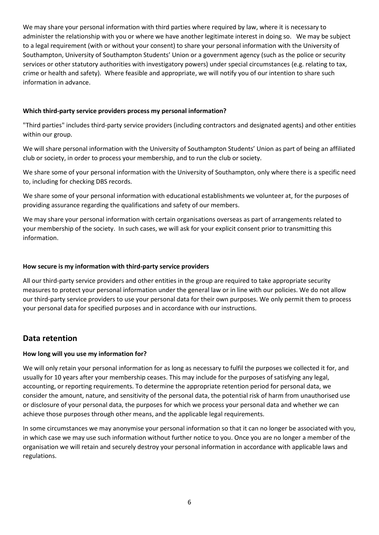We may share your personal information with third parties where required by law, where it is necessary to administer the relationship with you or where we have another legitimate interest in doing so. We may be subject to a legal requirement (with or without your consent) to share your personal information with the University of Southampton, University of Southampton Students' Union or a government agency (such as the police or security services or other statutory authorities with investigatory powers) under special circumstances (e.g. relating to tax, crime or health and safety). Where feasible and appropriate, we will notify you of our intention to share such information in advance.

## **Which third-party service providers process my personal information?**

"Third parties" includes third-party service providers (including contractors and designated agents) and other entities within our group.

We will share personal information with the University of Southampton Students' Union as part of being an affiliated club or society, in order to process your membership, and to run the club or society.

We share some of your personal information with the University of Southampton, only where there is a specific need to, including for checking DBS records.

We share some of your personal information with educational establishments we volunteer at, for the purposes of providing assurance regarding the qualifications and safety of our members.

We may share your personal information with certain organisations overseas as part of arrangements related to your membership of the society. In such cases, we will ask for your explicit consent prior to transmitting this information.

#### **How secure is my information with third-party service providers**

All our third-party service providers and other entities in the group are required to take appropriate security measures to protect your personal information under the general law or in line with our policies. We do not allow our third-party service providers to use your personal data for their own purposes. We only permit them to process your personal data for specified purposes and in accordance with our instructions.

## **Data retention**

## **How long will you use my information for?**

We will only retain your personal information for as long as necessary to fulfil the purposes we collected it for, and usually for 10 years after your membership ceases. This may include for the purposes of satisfying any legal, accounting, or reporting requirements. To determine the appropriate retention period for personal data, we consider the amount, nature, and sensitivity of the personal data, the potential risk of harm from unauthorised use or disclosure of your personal data, the purposes for which we process your personal data and whether we can achieve those purposes through other means, and the applicable legal requirements.

In some circumstances we may anonymise your personal information so that it can no longer be associated with you, in which case we may use such information without further notice to you. Once you are no longer a member of the organisation we will retain and securely destroy your personal information in accordance with applicable laws and regulations.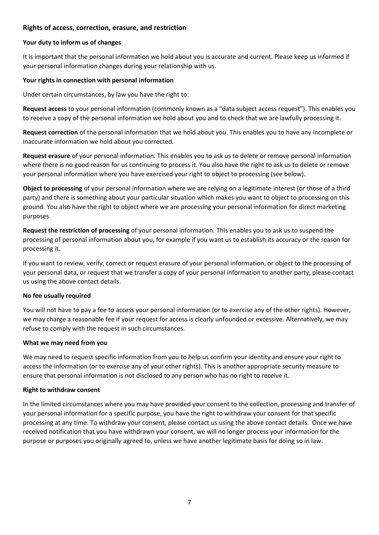## **Rights of access, correction, erasure, and restriction**

#### **Your duty to inform us of changes**

It is important that the personal information we hold about you is accurate and current. Please keep us informed if your personal information changes during your relationship with us.

#### **Your rights in connection with personal information**

Under certain circumstances, by law you have the right to:

**Request access** to your personal information (commonly known as a "data subject access request"). This enables you to receive a copy of the personal information we hold about you and to check that we are lawfully processing it.

**Request correction** of the personal information that we hold about you. This enables you to have any incomplete or inaccurate information we hold about you corrected.

**Request erasure** of your personal information. This enables you to ask us to delete or remove personal information where there is no good reason for us continuing to process it. You also have the right to ask us to delete or remove your personal information where you have exercised your right to object to processing (see below).

**Object to processing** of your personal information where we are relying on a legitimate interest (or those of a third party) and there is something about your particular situation which makes you want to object to processing on this ground. You also have the right to object where we are processing your personal information for direct marketing purposes.

**Request the restriction of processing** of your personal information. This enables you to ask us to suspend the processing of personal information about you, for example if you want us to establish its accuracy or the reason for processing it.

If you want to review, verify, correct or request erasure of your personal information, or object to the processing of your personal data, or request that we transfer a copy of your personal information to another party, please contact us using the above contact details.

## **No fee usually required**

You will not have to pay a fee to access your personal information (or to exercise any of the other rights). However, we may charge a reasonable fee if your request for access is clearly unfounded or excessive. Alternatively, we may refuse to comply with the request in such circumstances.

#### **What we may need from you**

We may need to request specific information from you to help us confirm your identity and ensure your right to access the information (or to exercise any of your other rights). This is another appropriate security measure to ensure that personal information is not disclosed to any person who has no right to receive it.

#### **Right to withdraw consent**

In the limited circumstances where you may have provided your consent to the collection, processing and transfer of your personal information for a specific purpose, you have the right to withdraw your consent for that specific processing at any time. To withdraw your consent, please contact us using the above contact details. Once we have received notification that you have withdrawn your consent, we will no longer process your information for the purpose or purposes you originally agreed to, unless we have another legitimate basis for doing so in law.